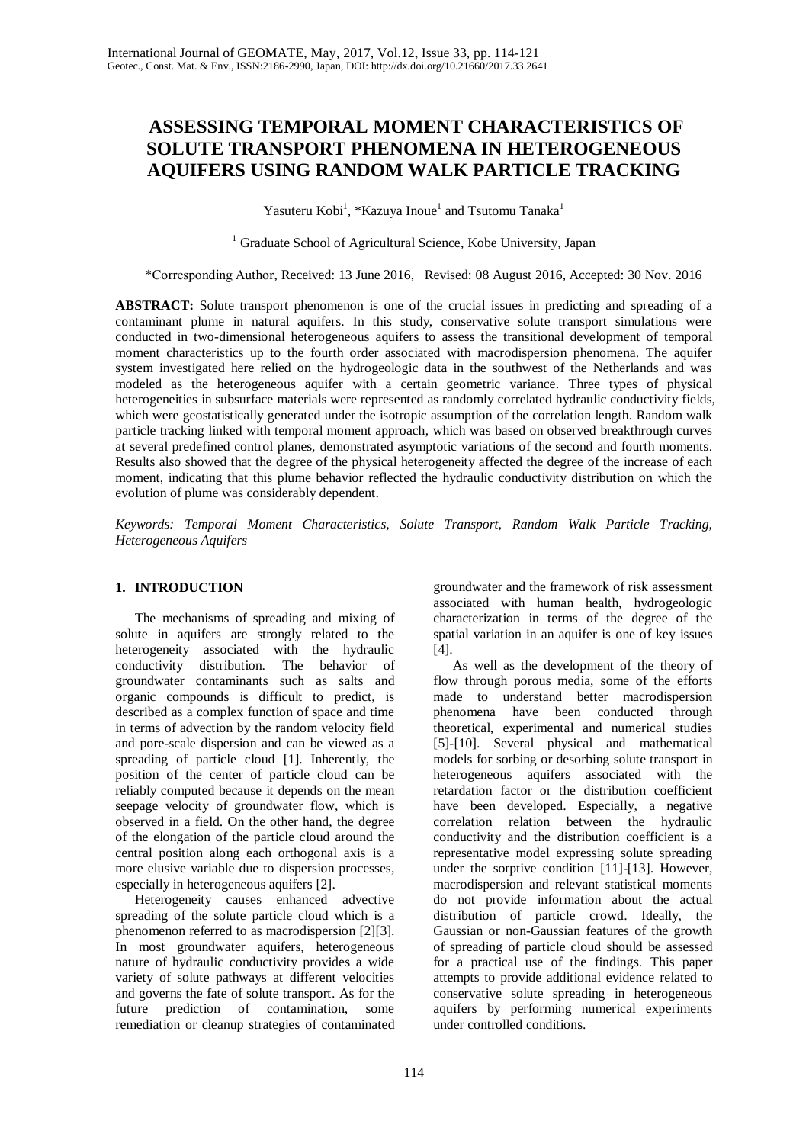# **ASSESSING TEMPORAL MOMENT CHARACTERISTICS OF SOLUTE TRANSPORT PHENOMENA IN HETEROGENEOUS AQUIFERS USING RANDOM WALK PARTICLE TRACKING**

Yasuteru Kobi<sup>1</sup>, \*Kazuya Inoue<sup>1</sup> and Tsutomu Tanaka<sup>1</sup>

<sup>1</sup> Graduate School of Agricultural Science, Kobe University, Japan

\*Corresponding Author, Received: 13 June 2016, Revised: 08 August 2016, Accepted: 30 Nov. 2016

**ABSTRACT:** Solute transport phenomenon is one of the crucial issues in predicting and spreading of a contaminant plume in natural aquifers. In this study, conservative solute transport simulations were conducted in two-dimensional heterogeneous aquifers to assess the transitional development of temporal moment characteristics up to the fourth order associated with macrodispersion phenomena. The aquifer system investigated here relied on the hydrogeologic data in the southwest of the Netherlands and was modeled as the heterogeneous aquifer with a certain geometric variance. Three types of physical heterogeneities in subsurface materials were represented as randomly correlated hydraulic conductivity fields, which were geostatistically generated under the isotropic assumption of the correlation length. Random walk particle tracking linked with temporal moment approach, which was based on observed breakthrough curves at several predefined control planes, demonstrated asymptotic variations of the second and fourth moments. Results also showed that the degree of the physical heterogeneity affected the degree of the increase of each moment, indicating that this plume behavior reflected the hydraulic conductivity distribution on which the evolution of plume was considerably dependent.

*Keywords: Temporal Moment Characteristics, Solute Transport, Random Walk Particle Tracking, Heterogeneous Aquifers* 

# **1. INTRODUCTION**

The mechanisms of spreading and mixing of solute in aquifers are strongly related to the heterogeneity associated with the hydraulic conductivity distribution. The behavior of groundwater contaminants such as salts and organic compounds is difficult to predict, is described as a complex function of space and time in terms of advection by the random velocity field and pore-scale dispersion and can be viewed as a spreading of particle cloud [1]. Inherently, the position of the center of particle cloud can be reliably computed because it depends on the mean seepage velocity of groundwater flow, which is observed in a field. On the other hand, the degree of the elongation of the particle cloud around the central position along each orthogonal axis is a more elusive variable due to dispersion processes, especially in heterogeneous aquifers [2].

Heterogeneity causes enhanced advective spreading of the solute particle cloud which is a phenomenon referred to as macrodispersion [2][3]. In most groundwater aquifers, heterogeneous nature of hydraulic conductivity provides a wide variety of solute pathways at different velocities and governs the fate of solute transport. As for the future prediction of contamination, some remediation or cleanup strategies of contaminated

groundwater and the framework of risk assessment associated with human health, hydrogeologic characterization in terms of the degree of the spatial variation in an aquifer is one of key issues  $[4]$ .

As well as the development of the theory of flow through porous media, some of the efforts made to understand better macrodispersion phenomena have been conducted through theoretical, experimental and numerical studies [5]-[10]. Several physical and mathematical models for sorbing or desorbing solute transport in heterogeneous aquifers associated with the retardation factor or the distribution coefficient have been developed. Especially, a negative correlation relation between the hydraulic conductivity and the distribution coefficient is a representative model expressing solute spreading under the sorptive condition [11]-[13]. However, macrodispersion and relevant statistical moments do not provide information about the actual distribution of particle crowd. Ideally, the Gaussian or non-Gaussian features of the growth of spreading of particle cloud should be assessed for a practical use of the findings. This paper attempts to provide additional evidence related to conservative solute spreading in heterogeneous aquifers by performing numerical experiments under controlled conditions.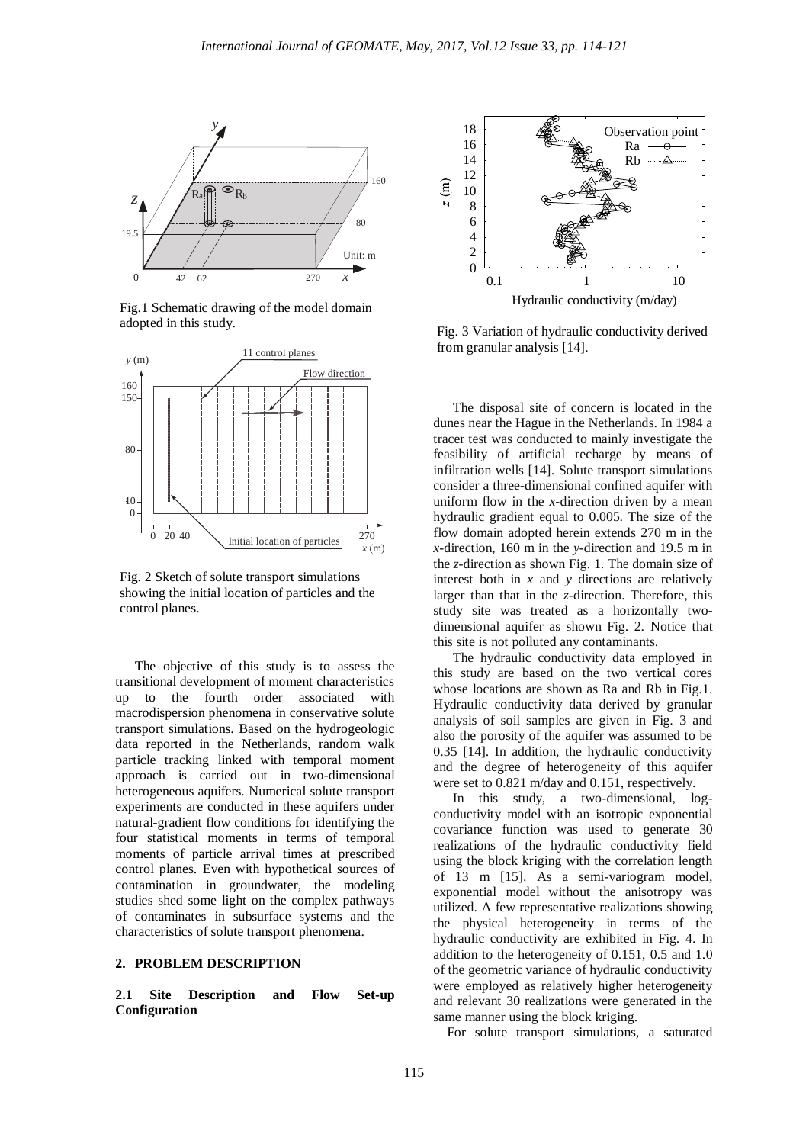

Fig.1 Schematic drawing of the model domain adopted in this study.



Fig. 2 Sketch of solute transport simulations showing the initial location of particles and the control planes.

The objective of this study is to assess the transitional development of moment characteristics up to the fourth order associated with macrodispersion phenomena in conservative solute transport simulations. Based on the hydrogeologic data reported in the Netherlands, random walk particle tracking linked with temporal moment approach is carried out in two-dimensional heterogeneous aquifers. Numerical solute transport experiments are conducted in these aquifers under natural-gradient flow conditions for identifying the four statistical moments in terms of temporal moments of particle arrival times at prescribed control planes. Even with hypothetical sources of contamination in groundwater, the modeling studies shed some light on the complex pathways of contaminates in subsurface systems and the characteristics of solute transport phenomena.

# **2. PROBLEM DESCRIPTION**

**2.1 Site Description and Flow Set-up Configuration**



Fig. 3 Variation of hydraulic conductivity derived from granular analysis [14].

The disposal site of concern is located in the dunes near the Hague in the Netherlands. In 1984 a tracer test was conducted to mainly investigate the feasibility of artificial recharge by means of infiltration wells [14]. Solute transport simulations consider a three-dimensional confined aquifer with uniform flow in the *x*-direction driven by a mean hydraulic gradient equal to 0.005. The size of the flow domain adopted herein extends 270 m in the *x*-direction, 160 m in the *y*-direction and 19.5 m in the *z*-direction as shown Fig. 1. The domain size of interest both in *x* and *y* directions are relatively larger than that in the *z*-direction. Therefore, this study site was treated as a horizontally twodimensional aquifer as shown Fig. 2. Notice that this site is not polluted any contaminants.

The hydraulic conductivity data employed in this study are based on the two vertical cores whose locations are shown as Ra and Rb in Fig.1. Hydraulic conductivity data derived by granular analysis of soil samples are given in Fig. 3 and also the porosity of the aquifer was assumed to be 0.35 [14]. In addition, the hydraulic conductivity and the degree of heterogeneity of this aquifer were set to 0.821 m/day and 0.151, respectively.

In this study, a two-dimensional, logconductivity model with an isotropic exponential covariance function was used to generate 30 realizations of the hydraulic conductivity field using the block kriging with the correlation length of 13 m [15]. As a semi-variogram model, exponential model without the anisotropy was utilized. A few representative realizations showing the physical heterogeneity in terms of the hydraulic conductivity are exhibited in Fig. 4. In addition to the heterogeneity of 0.151, 0.5 and 1.0 of the geometric variance of hydraulic conductivity were employed as relatively higher heterogeneity and relevant 30 realizations were generated in the same manner using the block kriging.

For solute transport simulations, a saturated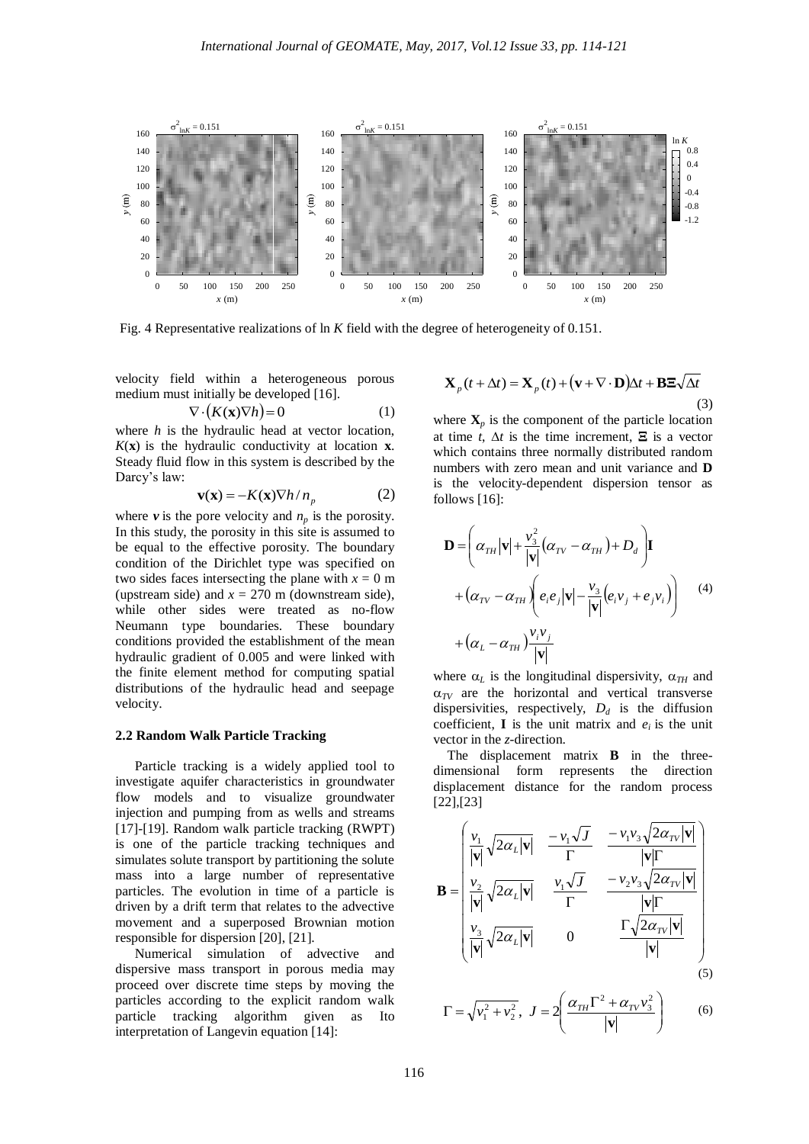

Fig. 4 Representative realizations of ln *K* field with the degree of heterogeneity of 0.151.

velocity field within a heterogeneous porous medium must initially be developed [16].

$$
\nabla \cdot (K(\mathbf{x}) \nabla h) = 0 \tag{1}
$$

where *h* is the hydraulic head at vector location,  $K(\mathbf{x})$  is the hydraulic conductivity at location  $\mathbf{x}$ . Steady fluid flow in this system is described by the Darcy's law:

$$
\mathbf{v}(\mathbf{x}) = -K(\mathbf{x}) \nabla h / n_p \tag{2}
$$

where  $v$  is the pore velocity and  $n_p$  is the porosity. In this study, the porosity in this site is assumed to be equal to the effective porosity. The boundary condition of the Dirichlet type was specified on two sides faces intersecting the plane with  $x = 0$  m (upstream side) and  $x = 270$  m (downstream side), while other sides were treated as no-flow Neumann type boundaries. These boundary conditions provided the establishment of the mean hydraulic gradient of 0.005 and were linked with the finite element method for computing spatial distributions of the hydraulic head and seepage velocity.

# **2.2 Random Walk Particle Tracking**

Particle tracking is a widely applied tool to investigate aquifer characteristics in groundwater flow models and to visualize groundwater injection and pumping from as wells and streams [17]-[19]. Random walk particle tracking (RWPT) is one of the particle tracking techniques and simulates solute transport by partitioning the solute mass into a large number of representative particles. The evolution in time of a particle is driven by a drift term that relates to the advective movement and a superposed Brownian motion responsible for dispersion [20], [21].

Numerical simulation of advective and dispersive mass transport in porous media may proceed over discrete time steps by moving the particles according to the explicit random walk particle tracking algorithm given as Ito interpretation of Langevin equation [14]:

$$
\mathbf{X}_p(t + \Delta t) = \mathbf{X}_p(t) + (\mathbf{v} + \nabla \cdot \mathbf{D})\Delta t + \mathbf{B} \mathbf{\Xi} \sqrt{\Delta t}
$$
\n(3)

where  $\mathbf{X}_p$  is the component of the particle location at time *t*,  $\Delta t$  is the time increment,  $\Xi$  is a vector which contains three normally distributed random numbers with zero mean and unit variance and **D** is the velocity-dependent dispersion tensor as follows [16]:

$$
\mathbf{D} = \left(\alpha_{TH} |\mathbf{v}| + \frac{v_3^2}{|\mathbf{v}|} (\alpha_{TV} - \alpha_{TH}) + D_d \right) \mathbf{I}
$$
  
+  $(\alpha_{TV} - \alpha_{TH}) \left(e_i e_j |\mathbf{v}| - \frac{v_3}{|\mathbf{v}|} (e_i v_j + e_j v_i) \right)$  (4)  
+  $(\alpha_L - \alpha_{TH}) \frac{v_i v_j}{|\mathbf{v}|}$ 

where  $\alpha_L$  is the longitudinal dispersivity,  $\alpha_{TH}$  and  $\alpha_{TV}$  are the horizontal and vertical transverse dispersivities, respectively,  $D_d$  is the diffusion coefficient, **I** is the unit matrix and  $e_i$  is the unit vector in the *z*-direction.

 The displacement matrix **B** in the threedimensional form represents the direction displacement distance for the random process [22],[23]

$$
\mathbf{B} = \begin{bmatrix} \frac{v_1}{|\mathbf{v}|} \sqrt{2\alpha_L |\mathbf{v}|} & \frac{-v_1\sqrt{J}}{\Gamma} & \frac{-v_1v_3\sqrt{2\alpha_{TV}|\mathbf{v}|}}{|\mathbf{v}|\Gamma} \\ \frac{v_2}{|\mathbf{v}|} \sqrt{2\alpha_L |\mathbf{v}|} & \frac{v_1\sqrt{J}}{\Gamma} & \frac{-v_2v_3\sqrt{2\alpha_{TV}|\mathbf{v}|}}{|\mathbf{v}|\Gamma} \\ \frac{v_3}{|\mathbf{v}|} \sqrt{2\alpha_L |\mathbf{v}|} & 0 & \frac{\Gamma \sqrt{2\alpha_{TV}|\mathbf{v}|}}{|\mathbf{v}|} \end{bmatrix}
$$
(5)

$$
\Gamma = \sqrt{v_1^2 + v_2^2}, J = 2\left(\frac{\alpha_{TH}\Gamma^2 + \alpha_{TV}v_3^2}{|\mathbf{v}|}\right)
$$
 (6)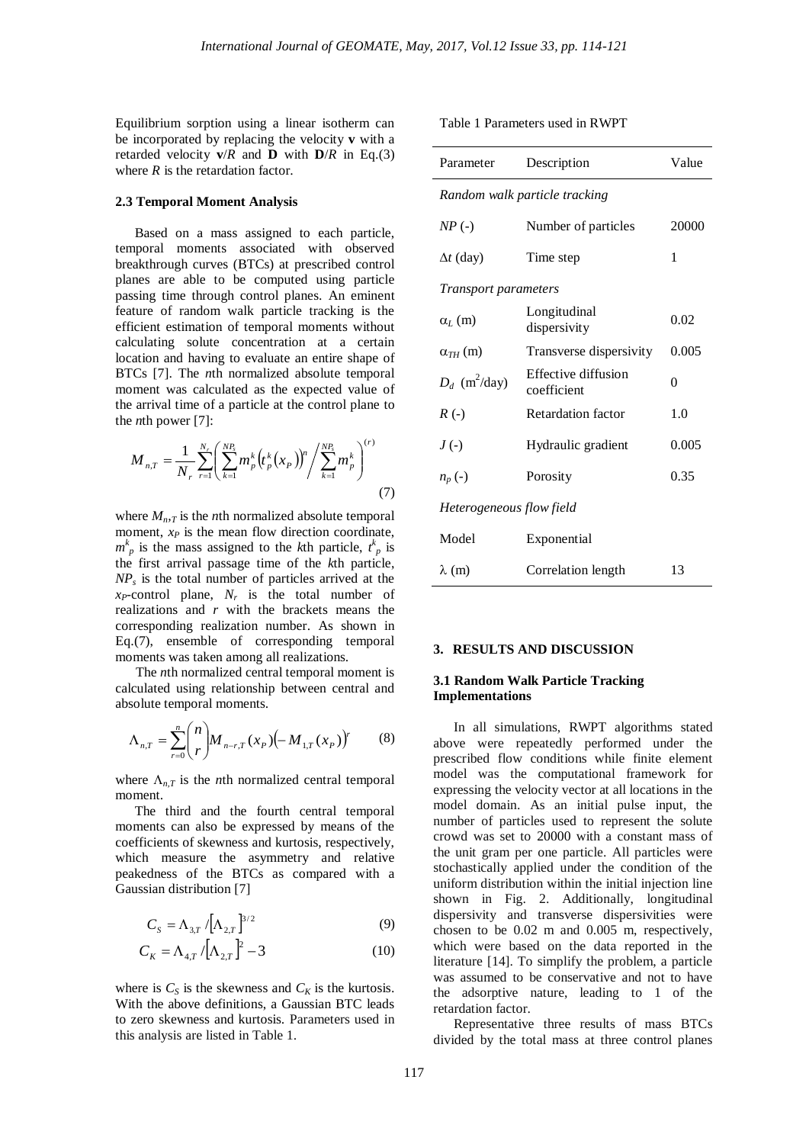Equilibrium sorption using a linear isotherm can be incorporated by replacing the velocity **v** with a retarded velocity  $\mathbf{v}/R$  and **D** with  $\mathbf{D}/R$  in Eq.(3) where *R* is the retardation factor.

# **2.3 Temporal Moment Analysis**

Based on a mass assigned to each particle, temporal moments associated with observed breakthrough curves (BTCs) at prescribed control planes are able to be computed using particle passing time through control planes. An eminent feature of random walk particle tracking is the efficient estimation of temporal moments without calculating solute concentration at a certain location and having to evaluate an entire shape of BTCs [7]. The *n*th normalized absolute temporal moment was calculated as the expected value of the arrival time of a particle at the control plane to the *n*th power [7]:

$$
M_{n,T} = \frac{1}{N_r} \sum_{r=1}^{N_r} \left( \sum_{k=1}^{NP_s} m_p^k \left( t_p^k(x_p) \right)^n / \sum_{k=1}^{NP_s} m_p^k \right)^{(r)}
$$
(7)

where  $M_{n,T}$  is the *n*th normalized absolute temporal moment,  $x_P$  is the mean flow direction coordinate,  $m_p^k$  is the mass assigned to the *k*th particle,  $t_p^k$  is the first arrival passage time of the *k*th particle, *NP<sup>s</sup>* is the total number of particles arrived at the *xP*-control plane, *N<sup>r</sup>* is the total number of realizations and *r* with the brackets means the corresponding realization number. As shown in Eq.(7), ensemble of corresponding temporal moments was taken among all realizations.

The *n*th normalized central temporal moment is calculated using relationship between central and absolute temporal moments.

$$
\Lambda_{n,T} = \sum_{r=0}^{n} {n \choose r} M_{n-r,T}(x_p) \left(-M_{1,T}(x_p)\right)^r \tag{8}
$$

where  $\Lambda_{n,T}$  is the *n*th normalized central temporal moment.

The third and the fourth central temporal moments can also be expressed by means of the coefficients of skewness and kurtosis, respectively, which measure the asymmetry and relative peakedness of the BTCs as compared with a Gaussian distribution [7]

$$
C_{s} = \Lambda_{3,T} \sqrt{[\Lambda_{2,T}]}^{3/2}
$$
 (9)

$$
C_K = \Lambda_{4,T} / [\Lambda_{2,T}]^2 - 3
$$
 (10)

where is  $C_S$  is the skewness and  $C_K$  is the kurtosis. With the above definitions, a Gaussian BTC leads to zero skewness and kurtosis. Parameters used in this analysis are listed in Table 1.

Table 1 Parameters used in RWPT

| Parameter                     | Description                        | Value |
|-------------------------------|------------------------------------|-------|
| Random walk particle tracking |                                    |       |
| $NP(-)$                       | Number of particles                | 20000 |
| $\Delta t$ (day)              | Time step                          | 1     |
| <i>Transport parameters</i>   |                                    |       |
| $\alpha$ <sub>L</sub> $(m)$   | Longitudinal<br>dispersivity       | 0.02  |
| $\alpha_{TH}$ (m)             | Transverse dispersivity            | 0.005 |
| $D_d$ (m <sup>2</sup> /day)   | Effective diffusion<br>coefficient | 0     |
| $R(-)$                        | <b>Retardation factor</b>          | 1.0   |
| $J(\cdot)$                    | Hydraulic gradient                 | 0.005 |
| $n_p(\cdot)$                  | Porosity                           | 0.35  |
| Heterogeneous flow field      |                                    |       |
| Model                         | Exponential                        |       |
| $\lambda$ (m)                 | Correlation length                 | 13    |

# **3. RESULTS AND DISCUSSION**

# **3.1 Random Walk Particle Tracking Implementations**

In all simulations, RWPT algorithms stated above were repeatedly performed under the prescribed flow conditions while finite element model was the computational framework for expressing the velocity vector at all locations in the model domain. As an initial pulse input, the number of particles used to represent the solute crowd was set to 20000 with a constant mass of the unit gram per one particle. All particles were stochastically applied under the condition of the uniform distribution within the initial injection line shown in Fig. 2. Additionally, longitudinal dispersivity and transverse dispersivities were chosen to be 0.02 m and 0.005 m, respectively, which were based on the data reported in the literature [14]. To simplify the problem, a particle was assumed to be conservative and not to have the adsorptive nature, leading to 1 of the retardation factor.

Representative three results of mass BTCs divided by the total mass at three control planes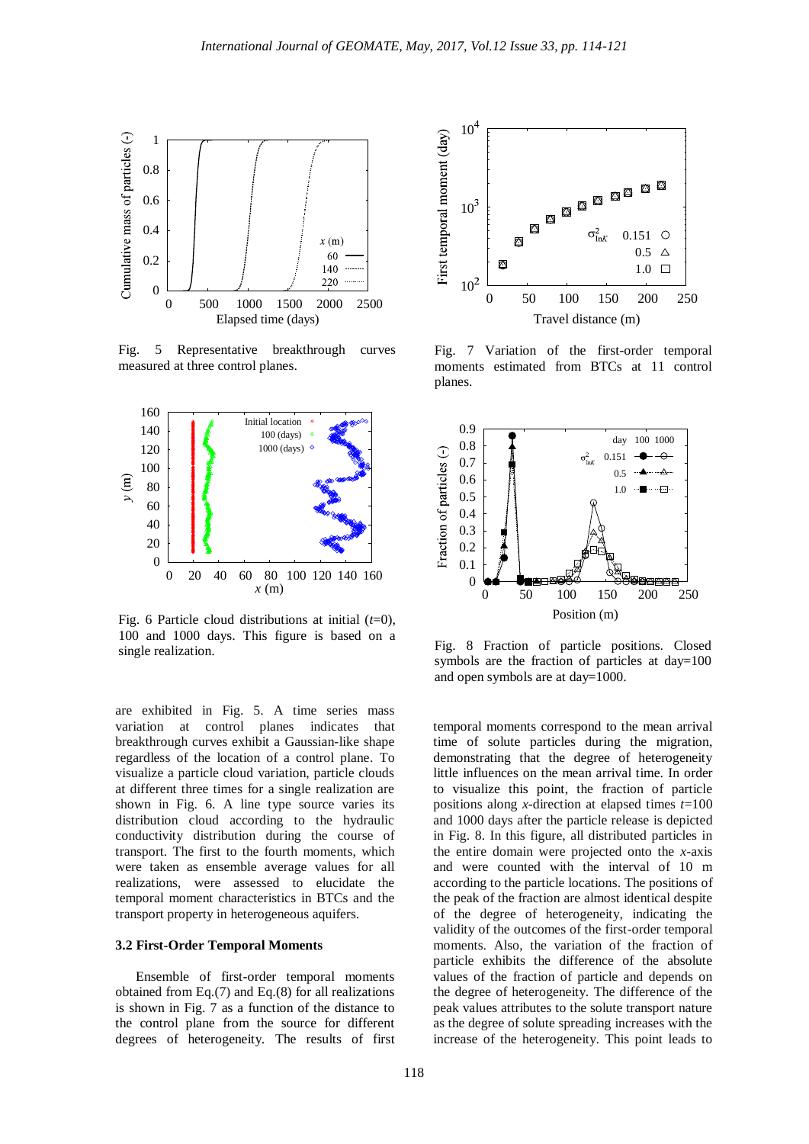

Fig. 5 Representative breakthrough curves measured at three control planes.



Fig. 6 Particle cloud distributions at initial (*t*=0), 100 and 1000 days. This figure is based on a single realization.

are exhibited in Fig. 5. A time series mass variation at control planes indicates that breakthrough curves exhibit a Gaussian-like shape regardless of the location of a control plane. To visualize a particle cloud variation, particle clouds at different three times for a single realization are shown in Fig. 6. A line type source varies its distribution cloud according to the hydraulic conductivity distribution during the course of transport. The first to the fourth moments, which were taken as ensemble average values for all realizations, were assessed to elucidate the temporal moment characteristics in BTCs and the transport property in heterogeneous aquifers.

#### **3.2 First-Order Temporal Moments**

Ensemble of first-order temporal moments obtained from Eq.(7) and Eq.(8) for all realizations is shown in Fig. 7 as a function of the distance to the control plane from the source for different degrees of heterogeneity. The results of first



Fig. 7 Variation of the first-order temporal moments estimated from BTCs at 11 control planes.



Fig. 8 Fraction of particle positions. Closed symbols are the fraction of particles at day=100 and open symbols are at day=1000.

temporal moments correspond to the mean arrival time of solute particles during the migration, demonstrating that the degree of heterogeneity little influences on the mean arrival time. In order to visualize this point, the fraction of particle positions along *x*-direction at elapsed times *t*=100 and 1000 days after the particle release is depicted in Fig. 8. In this figure, all distributed particles in the entire domain were projected onto the *x*-axis and were counted with the interval of 10 m according to the particle locations. The positions of the peak of the fraction are almost identical despite of the degree of heterogeneity, indicating the validity of the outcomes of the first-order temporal moments. Also, the variation of the fraction of particle exhibits the difference of the absolute values of the fraction of particle and depends on the degree of heterogeneity. The difference of the peak values attributes to the solute transport nature as the degree of solute spreading increases with the increase of the heterogeneity. This point leads to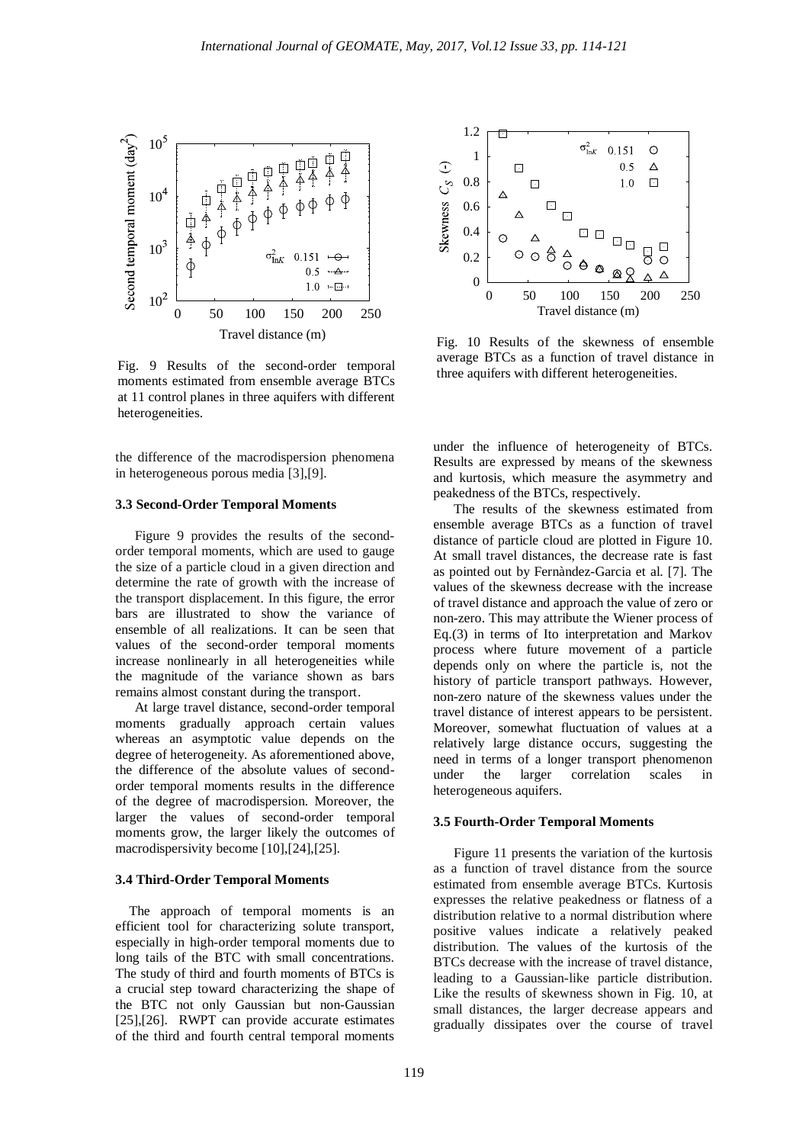

Fig. 9 Results of the second-order temporal moments estimated from ensemble average BTCs at 11 control planes in three aquifers with different heterogeneities.

the difference of the macrodispersion phenomena in heterogeneous porous media [3],[9].

#### **3.3 Second-Order Temporal Moments**

Figure 9 provides the results of the secondorder temporal moments, which are used to gauge the size of a particle cloud in a given direction and determine the rate of growth with the increase of the transport displacement. In this figure, the error bars are illustrated to show the variance of ensemble of all realizations. It can be seen that values of the second-order temporal moments increase nonlinearly in all heterogeneities while the magnitude of the variance shown as bars remains almost constant during the transport.

At large travel distance, second-order temporal moments gradually approach certain values whereas an asymptotic value depends on the degree of heterogeneity. As aforementioned above, the difference of the absolute values of secondorder temporal moments results in the difference of the degree of macrodispersion. Moreover, the larger the values of second-order temporal moments grow, the larger likely the outcomes of macrodispersivity become [10],[24],[25].

# **3.4 Third-Order Temporal Moments**

The approach of temporal moments is an efficient tool for characterizing solute transport, especially in high-order temporal moments due to long tails of the BTC with small concentrations. The study of third and fourth moments of BTCs is a crucial step toward characterizing the shape of the BTC not only Gaussian but non-Gaussian [25],[26]. RWPT can provide accurate estimates of the third and fourth central temporal moments



Fig. 10 Results of the skewness of ensemble average BTCs as a function of travel distance in three aquifers with different heterogeneities.

under the influence of heterogeneity of BTCs. Results are expressed by means of the skewness and kurtosis, which measure the asymmetry and peakedness of the BTCs, respectively.

The results of the skewness estimated from ensemble average BTCs as a function of travel distance of particle cloud are plotted in Figure 10. At small travel distances, the decrease rate is fast as pointed out by Fernàndez-Garcia et al. [7]. The values of the skewness decrease with the increase of travel distance and approach the value of zero or non-zero. This may attribute the Wiener process of Eq.(3) in terms of Ito interpretation and Markov process where future movement of a particle depends only on where the particle is, not the history of particle transport pathways. However, non-zero nature of the skewness values under the travel distance of interest appears to be persistent. Moreover, somewhat fluctuation of values at a relatively large distance occurs, suggesting the need in terms of a longer transport phenomenon under the larger correlation scales in heterogeneous aquifers.

#### **3.5 Fourth-Order Temporal Moments**

Figure 11 presents the variation of the kurtosis as a function of travel distance from the source estimated from ensemble average BTCs. Kurtosis expresses the relative peakedness or flatness of a distribution relative to a normal distribution where positive values indicate a relatively peaked distribution. The values of the kurtosis of the BTCs decrease with the increase of travel distance, leading to a Gaussian-like particle distribution. Like the results of skewness shown in Fig. 10, at small distances, the larger decrease appears and gradually dissipates over the course of travel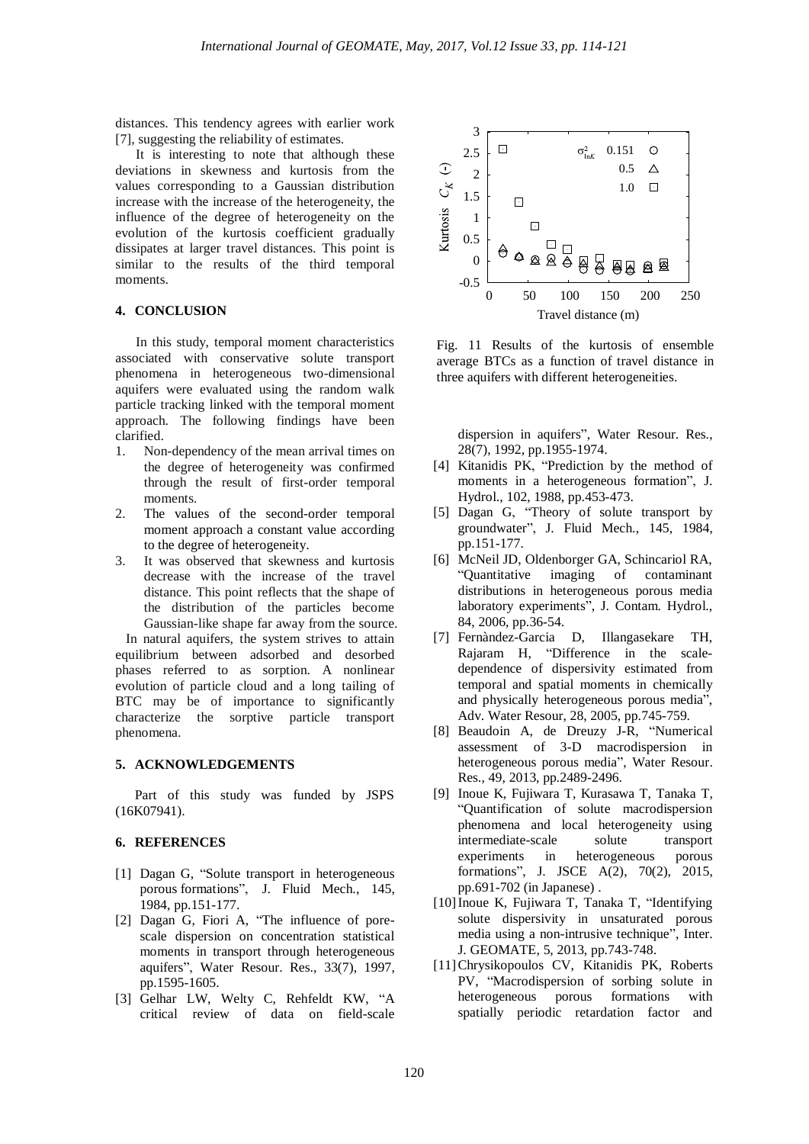distances. This tendency agrees with earlier work [7], suggesting the reliability of estimates.

It is interesting to note that although these deviations in skewness and kurtosis from the values corresponding to a Gaussian distribution increase with the increase of the heterogeneity, the influence of the degree of heterogeneity on the evolution of the kurtosis coefficient gradually dissipates at larger travel distances. This point is similar to the results of the third temporal moments.

# **4. CONCLUSION**

In this study, temporal moment characteristics associated with conservative solute transport phenomena in heterogeneous two-dimensional aquifers were evaluated using the random walk particle tracking linked with the temporal moment approach. The following findings have been clarified.

- 1. Non-dependency of the mean arrival times on the degree of heterogeneity was confirmed through the result of first-order temporal moments.
- 2. The values of the second-order temporal moment approach a constant value according to the degree of heterogeneity.
- 3. It was observed that skewness and kurtosis decrease with the increase of the travel distance. This point reflects that the shape of the distribution of the particles become Gaussian-like shape far away from the source.

 In natural aquifers, the system strives to attain equilibrium between adsorbed and desorbed phases referred to as sorption. A nonlinear evolution of particle cloud and a long tailing of BTC may be of importance to significantly characterize the sorptive particle transport phenomena.

# **5. ACKNOWLEDGEMENTS**

Part of this study was funded by JSPS (16K07941).

#### **6. REFERENCES**

- [1] Dagan G, "Solute transport in heterogeneous porous formations", J. Fluid Mech., 145, 1984, pp.151-177.
- [2] Dagan G, Fiori A, "The influence of porescale dispersion on concentration statistical moments in transport through heterogeneous aquifers", Water Resour. Res., 33(7), 1997, pp.1595-1605.
- [3] Gelhar LW, Welty C, Rehfeldt KW, "A critical review of data on field-scale



Fig. 11 Results of the kurtosis of ensemble average BTCs as a function of travel distance in three aquifers with different heterogeneities.

dispersion in aquifers", Water Resour. Res., 28(7), 1992, pp.1955-1974.

- [4] Kitanidis PK, "Prediction by the method of moments in a heterogeneous formation", J. Hydrol., 102, 1988, pp.453-473.
- [5] Dagan G, "Theory of solute transport by groundwater", J. Fluid Mech., 145, 1984, pp.151-177.
- [6] McNeil JD, Oldenborger GA, Schincariol RA, "Quantitative imaging of contaminant distributions in heterogeneous porous media laboratory experiments", J. Contam. Hydrol., 84, 2006, pp.36-54.
- [7] Fernàndez-Garcia D, Illangasekare TH, Rajaram H, "Difference in the scaledependence of dispersivity estimated from temporal and spatial moments in chemically and physically heterogeneous porous media", Adv. Water Resour, 28, 2005, pp.745-759.
- [8] Beaudoin A, de Dreuzy J-R, "Numerical assessment of 3-D macrodispersion in heterogeneous porous media", Water Resour. Res., 49, 2013, pp.2489-2496.
- [9] Inoue K, Fujiwara T, Kurasawa T, Tanaka T, "Quantification of solute macrodispersion phenomena and local heterogeneity using intermediate-scale solute transport experiments in heterogeneous porous formations", J. JSCE A(2), 70(2), 2015, pp.691-702 (in Japanese) .
- [10]Inoue K, Fujiwara T, Tanaka T, "Identifying solute dispersivity in unsaturated porous media using a non-intrusive technique", Inter. J. GEOMATE, 5, 2013, pp.743-748.
- [11]Chrysikopoulos CV, Kitanidis PK, Roberts PV, "Macrodispersion of sorbing solute in heterogeneous porous formations with spatially periodic retardation factor and